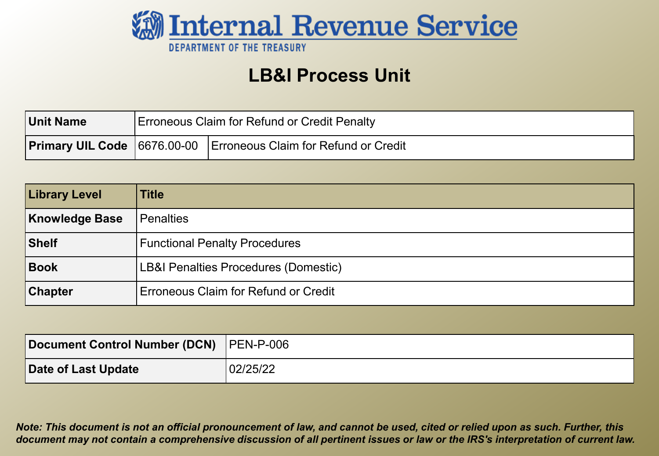

#### **LB&I Process Unit**

| Unit Name | <b>Erroneous Claim for Refund or Credit Penalty</b> |                                                                         |
|-----------|-----------------------------------------------------|-------------------------------------------------------------------------|
|           |                                                     | <b>Primary UIL Code</b> 6676.00-00 Erroneous Claim for Refund or Credit |

| <b>Library Level</b>  | <b>Title</b>                         |
|-----------------------|--------------------------------------|
| <b>Knowledge Base</b> | <b>Penalties</b>                     |
| Shelf                 | <b>Functional Penalty Procedures</b> |
| Book                  | LB&I Penalties Procedures (Domestic) |
| <b>Chapter</b>        | Erroneous Claim for Refund or Credit |

| Document Control Number (DCN) PEN-P-006 |          |
|-----------------------------------------|----------|
| Date of Last Update                     | 02/25/22 |

*Note: This document is not an official pronouncement of law, and cannot be used, cited or relied upon as such. Further, this document may not contain a comprehensive discussion of all pertinent issues or law or the IRS's interpretation of current law.*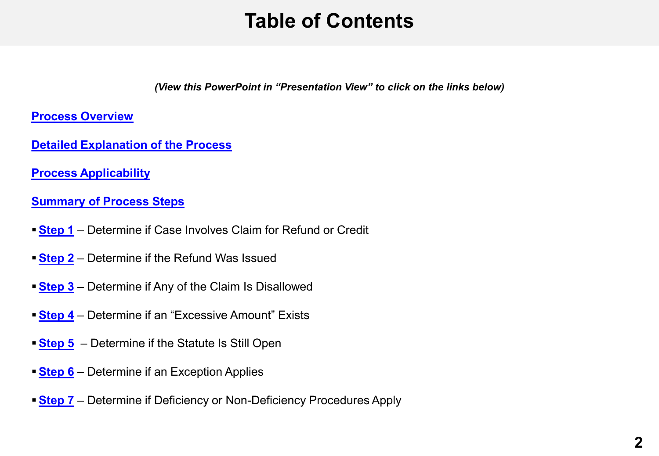### **Table of Contents**

*(View this PowerPoint in "Presentation View" to click on the links below)*

<span id="page-1-0"></span>**[Process Overview](#page-3-0)**

**[Detailed Explanation of the Process](#page-4-0)**

**[Process Applicability](#page-5-0)** 

**[Summary of Process Steps](#page-7-0)**

- **[Step 1](#page-9-0)** Determine if Case Involves Claim for Refund or Credit
- **[Step 2](#page-10-0)** Determine if the Refund Was Issued
- **[Step 3](#page-11-0)** Determine if Any of the Claim Is Disallowed
- **[Step 4](#page-12-0)** Determine if an "Excessive Amount" Exists
- **[Step 5](#page-13-0)** Determine if the Statute Is Still Open
- **[Step 6](#page-14-0)** Determine if an Exception Applies
- **[Step 7](#page-15-0)** Determine if Deficiency or Non-Deficiency Procedures Apply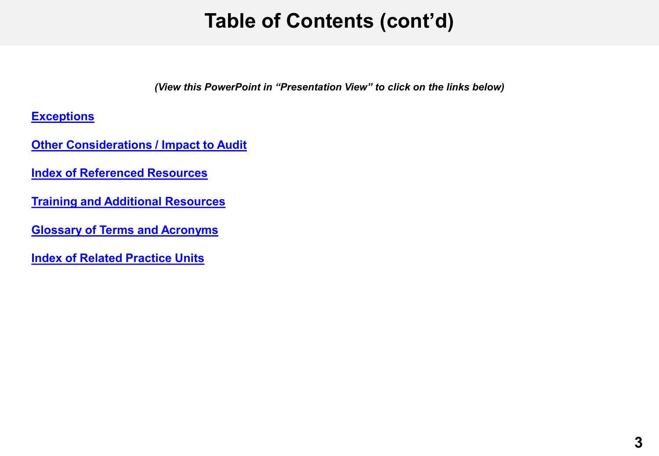## **Table of Contents (cont'd)**

*(View this PowerPoint in "Presentation View" to click on the links below)*

**[Exceptions](#page-17-0)**

**[Other Considerations / Impact to Audit](#page-19-0)** 

**[Index of Referenced Resources](#page-20-0)**

**[Training and Additional Resources](#page-21-0)**

**[Glossary of Terms and Acronyms](#page-22-0)**

**[Index of Related Practice Units](#page-23-0)**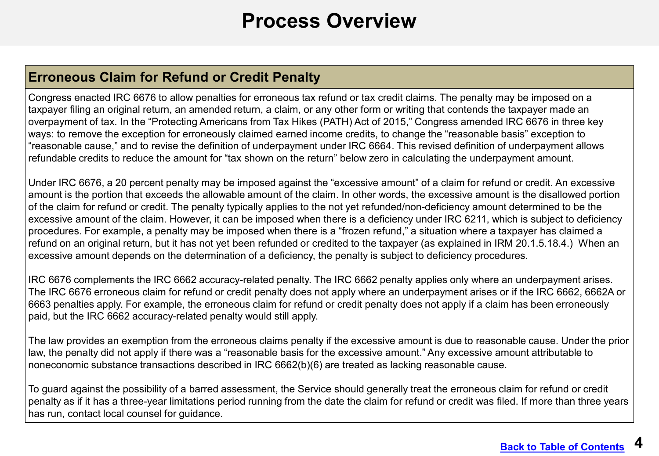#### **Process Overview**

#### <span id="page-3-0"></span>**Erroneous Claim for Refund or Credit Penalty**

Congress enacted IRC 6676 to allow penalties for erroneous tax refund or tax credit claims. The penalty may be imposed on a taxpayer filing an original return, an amended return, a claim, or any other form or writing that contends the taxpayer made an overpayment of tax. In the "Protecting Americans from Tax Hikes (PATH) Act of 2015," Congress amended IRC 6676 in three key ways: to remove the exception for erroneously claimed earned income credits, to change the "reasonable basis" exception to "reasonable cause," and to revise the definition of underpayment under IRC 6664. This revised definition of underpayment allows refundable credits to reduce the amount for "tax shown on the return" below zero in calculating the underpayment amount.

Under IRC 6676, a 20 percent penalty may be imposed against the "excessive amount" of a claim for refund or credit. An excessive amount is the portion that exceeds the allowable amount of the claim. In other words, the excessive amount is the disallowed portion of the claim for refund or credit. The penalty typically applies to the not yet refunded/non-deficiency amount determined to be the excessive amount of the claim. However, it can be imposed when there is a deficiency under IRC 6211, which is subject to deficiency procedures. For example, a penalty may be imposed when there is a "frozen refund," a situation where a taxpayer has claimed a refund on an original return, but it has not yet been refunded or credited to the taxpayer (as explained in IRM 20.1.5.18.4.) When an excessive amount depends on the determination of a deficiency, the penalty is subject to deficiency procedures.

IRC 6676 complements the IRC 6662 accuracy-related penalty. The IRC 6662 penalty applies only where an underpayment arises. The IRC 6676 erroneous claim for refund or credit penalty does not apply where an underpayment arises or if the IRC 6662, 6662A or 6663 penalties apply. For example, the erroneous claim for refund or credit penalty does not apply if a claim has been erroneously paid, but the IRC 6662 accuracy-related penalty would still apply.

The law provides an exemption from the erroneous claims penalty if the excessive amount is due to reasonable cause. Under the prior law, the penalty did not apply if there was a "reasonable basis for the excessive amount." Any excessive amount attributable to noneconomic substance transactions described in IRC 6662(b)(6) are treated as lacking reasonable cause.

To guard against the possibility of a barred assessment, the Service should generally treat the erroneous claim for refund or credit penalty as if it has a three-year limitations period running from the date the claim for refund or credit was filed. If more than three years has run, contact local counsel for guidance.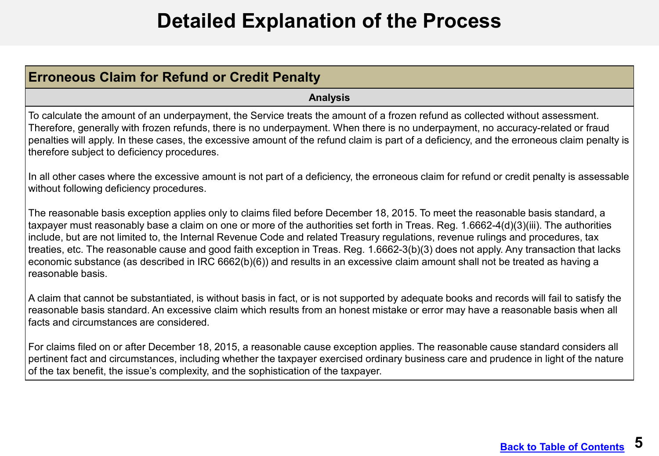### **Detailed Explanation of the Process**

<span id="page-4-0"></span>

| <b>Erroneous Claim for Refund or Credit Penalty</b>                                                                                                                                                                                                                                                                                                                                                                                                                                                                                                                                                                                                                                                        |  |
|------------------------------------------------------------------------------------------------------------------------------------------------------------------------------------------------------------------------------------------------------------------------------------------------------------------------------------------------------------------------------------------------------------------------------------------------------------------------------------------------------------------------------------------------------------------------------------------------------------------------------------------------------------------------------------------------------------|--|
| <b>Analysis</b>                                                                                                                                                                                                                                                                                                                                                                                                                                                                                                                                                                                                                                                                                            |  |
| To calculate the amount of an underpayment, the Service treats the amount of a frozen refund as collected without assessment.<br>Therefore, generally with frozen refunds, there is no underpayment. When there is no underpayment, no accuracy-related or fraud<br>penalties will apply. In these cases, the excessive amount of the refund claim is part of a deficiency, and the erroneous claim penalty is<br>therefore subject to deficiency procedures.                                                                                                                                                                                                                                              |  |
| In all other cases where the excessive amount is not part of a deficiency, the erroneous claim for refund or credit penalty is assessable<br>without following deficiency procedures.                                                                                                                                                                                                                                                                                                                                                                                                                                                                                                                      |  |
| The reasonable basis exception applies only to claims filed before December 18, 2015. To meet the reasonable basis standard, a<br>taxpayer must reasonably base a claim on one or more of the authorities set forth in Treas. Reg. 1.6662-4(d)(3)(iii). The authorities<br>include, but are not limited to, the Internal Revenue Code and related Treasury regulations, revenue rulings and procedures, tax<br>treaties, etc. The reasonable cause and good faith exception in Treas. Reg. 1.6662-3(b)(3) does not apply. Any transaction that lacks<br>economic substance (as described in IRC 6662(b)(6)) and results in an excessive claim amount shall not be treated as having a<br>reasonable basis. |  |
| A claim that cannot be substantiated, is without basis in fact, or is not supported by adequate books and records will fail to satisfy the<br>reasonable basis standard. An excessive claim which results from an honest mistake or error may have a reasonable basis when all<br>facts and circumstances are considered.                                                                                                                                                                                                                                                                                                                                                                                  |  |
| For claims filed on or after December 18, 2015, a reasonable cause exception applies. The reasonable cause standard considers all<br>pertinent fact and circumstances, including whether the taxpayer exercised ordinary business care and prudence in light of the nature<br>of the tax benefit, the issue's complexity, and the sophistication of the taxpayer.                                                                                                                                                                                                                                                                                                                                          |  |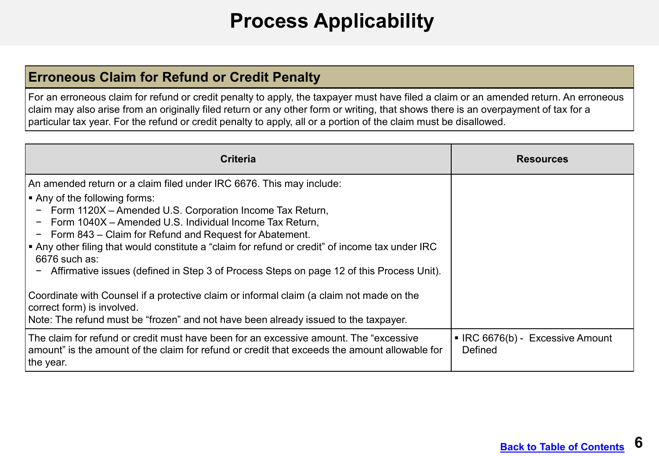## **Process Applicability**

#### <span id="page-5-0"></span>**Erroneous Claim for Refund or Credit Penalty**

For an erroneous claim for refund or credit penalty to apply, the taxpayer must have filed a claim or an amended return. An erroneous claim may also arise from an originally filed return or any other form or writing, that shows there is an overpayment of tax for a particular tax year. For the refund or credit penalty to apply, all or a portion of the claim must be disallowed.

| <b>Criteria</b>                                                                                                                                                                                                                                                                                                                                                                                                                                                                                                                                                  | <b>Resources</b>                            |
|------------------------------------------------------------------------------------------------------------------------------------------------------------------------------------------------------------------------------------------------------------------------------------------------------------------------------------------------------------------------------------------------------------------------------------------------------------------------------------------------------------------------------------------------------------------|---------------------------------------------|
| An amended return or a claim filed under IRC 6676. This may include:<br>$\blacktriangleright$ Any of the following forms:<br>Form 1120X - Amended U.S. Corporation Income Tax Return,<br>$\overline{\phantom{m}}$<br>Form 1040X - Amended U.S. Individual Income Tax Return,<br>Form 843 – Claim for Refund and Request for Abatement.<br>$\vert$ • Any other filing that would constitute a "claim for refund or credit" of income tax under IRC<br>$6676$ such as:<br>Affirmative issues (defined in Step 3 of Process Steps on page 12 of this Process Unit). |                                             |
| Coordinate with Counsel if a protective claim or informal claim (a claim not made on the<br>correct form) is involved.<br>Note: The refund must be "frozen" and not have been already issued to the taxpayer.                                                                                                                                                                                                                                                                                                                                                    |                                             |
| The claim for refund or credit must have been for an excessive amount. The "excessive<br>amount" is the amount of the claim for refund or credit that exceeds the amount allowable for  <br>the year.                                                                                                                                                                                                                                                                                                                                                            | • IRC 6676(b) - Excessive Amount<br>Defined |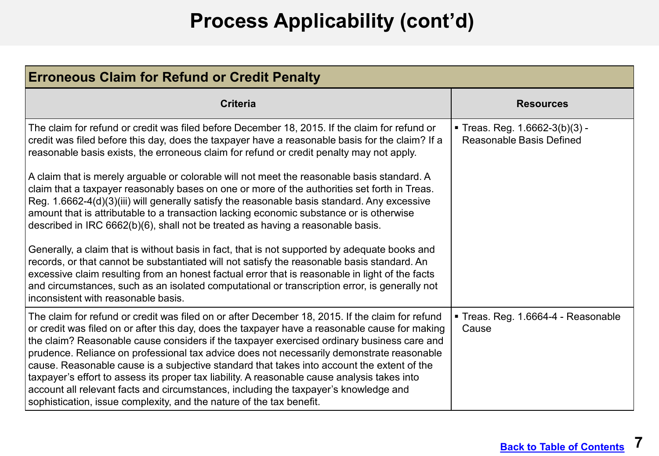# **Process Applicability (cont'd)**

| <b>Erroneous Claim for Refund or Credit Penalty</b>                                                                                                                                                                                                                                                                                                                                                                                                                                                                                                                                                                                                                                                                                                        |                                                                   |  |
|------------------------------------------------------------------------------------------------------------------------------------------------------------------------------------------------------------------------------------------------------------------------------------------------------------------------------------------------------------------------------------------------------------------------------------------------------------------------------------------------------------------------------------------------------------------------------------------------------------------------------------------------------------------------------------------------------------------------------------------------------------|-------------------------------------------------------------------|--|
| <b>Criteria</b>                                                                                                                                                                                                                                                                                                                                                                                                                                                                                                                                                                                                                                                                                                                                            | <b>Resources</b>                                                  |  |
| The claim for refund or credit was filed before December 18, 2015. If the claim for refund or<br>credit was filed before this day, does the taxpayer have a reasonable basis for the claim? If a<br>reasonable basis exists, the erroneous claim for refund or credit penalty may not apply.                                                                                                                                                                                                                                                                                                                                                                                                                                                               | Treas. Reg. $1.6662-3(b)(3) -$<br><b>Reasonable Basis Defined</b> |  |
| A claim that is merely arguable or colorable will not meet the reasonable basis standard. A<br>claim that a taxpayer reasonably bases on one or more of the authorities set forth in Treas.<br>Reg. 1.6662-4(d)(3)(iii) will generally satisfy the reasonable basis standard. Any excessive<br>amount that is attributable to a transaction lacking economic substance or is otherwise<br>described in IRC 6662(b)(6), shall not be treated as having a reasonable basis.                                                                                                                                                                                                                                                                                  |                                                                   |  |
| Generally, a claim that is without basis in fact, that is not supported by adequate books and<br>records, or that cannot be substantiated will not satisfy the reasonable basis standard. An<br>excessive claim resulting from an honest factual error that is reasonable in light of the facts<br>and circumstances, such as an isolated computational or transcription error, is generally not<br>inconsistent with reasonable basis.                                                                                                                                                                                                                                                                                                                    |                                                                   |  |
| The claim for refund or credit was filed on or after December 18, 2015. If the claim for refund<br>or credit was filed on or after this day, does the taxpayer have a reasonable cause for making<br>the claim? Reasonable cause considers if the taxpayer exercised ordinary business care and<br>prudence. Reliance on professional tax advice does not necessarily demonstrate reasonable<br>cause. Reasonable cause is a subjective standard that takes into account the extent of the<br>taxpayer's effort to assess its proper tax liability. A reasonable cause analysis takes into<br>account all relevant facts and circumstances, including the taxpayer's knowledge and<br>sophistication, issue complexity, and the nature of the tax benefit. | Treas. Reg. 1.6664-4 - Reasonable<br>Cause                        |  |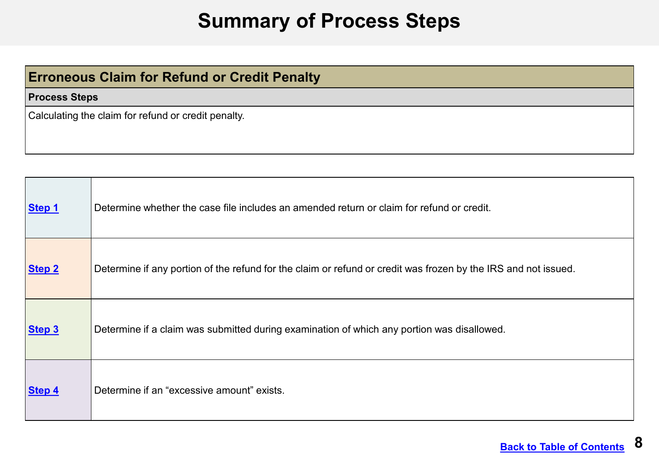#### **Summary of Process Steps**

#### <span id="page-7-0"></span>**Erroneous Claim for Refund or Credit Penalty**

#### **Process Steps**

Calculating the claim for refund or credit penalty.

| Step 1        | Determine whether the case file includes an amended return or claim for refund or credit.                      |
|---------------|----------------------------------------------------------------------------------------------------------------|
| <b>Step 2</b> | Determine if any portion of the refund for the claim or refund or credit was frozen by the IRS and not issued. |
| Step 3        | Determine if a claim was submitted during examination of which any portion was disallowed.                     |
| Step 4        | Determine if an "excessive amount" exists.                                                                     |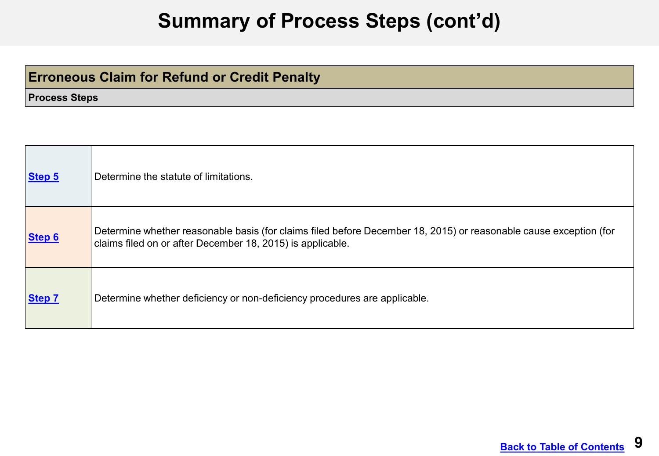#### **Summary of Process Steps (cont'd)**

#### <span id="page-8-0"></span>**Erroneous Claim for Refund or Credit Penalty**

**Process Steps**

| Step 5        | Determine the statute of limitations.                                                                                                                                           |
|---------------|---------------------------------------------------------------------------------------------------------------------------------------------------------------------------------|
| Step 6        | Determine whether reasonable basis (for claims filed before December 18, 2015) or reasonable cause exception (for<br>claims filed on or after December 18, 2015) is applicable. |
| <b>Step 7</b> | Determine whether deficiency or non-deficiency procedures are applicable.                                                                                                       |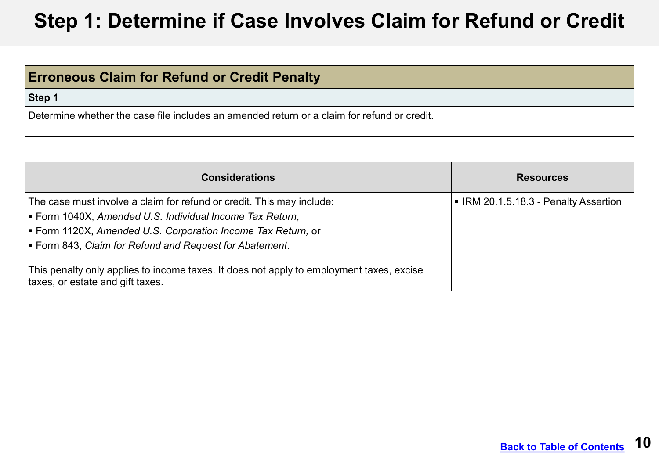#### <span id="page-9-0"></span>**DRAFT Step 1: Determine if Case Involves Claim for Refund or Credit**

#### **Erroneous Claim for Refund or Credit Penalty**

**Step 1**

Determine whether the case file includes an amended return or a claim for refund or credit.

| <b>Considerations</b>                                                                                                           | <b>Resources</b>                      |
|---------------------------------------------------------------------------------------------------------------------------------|---------------------------------------|
| The case must involve a claim for refund or credit. This may include:<br>Form 1040X, Amended U.S. Individual Income Tax Return, | • IRM 20.1.5.18.3 - Penalty Assertion |
| Form 1120X, Amended U.S. Corporation Income Tax Return, or<br>Form 843, Claim for Refund and Request for Abatement.             |                                       |
| This penalty only applies to income taxes. It does not apply to employment taxes, excise<br>taxes, or estate and gift taxes.    |                                       |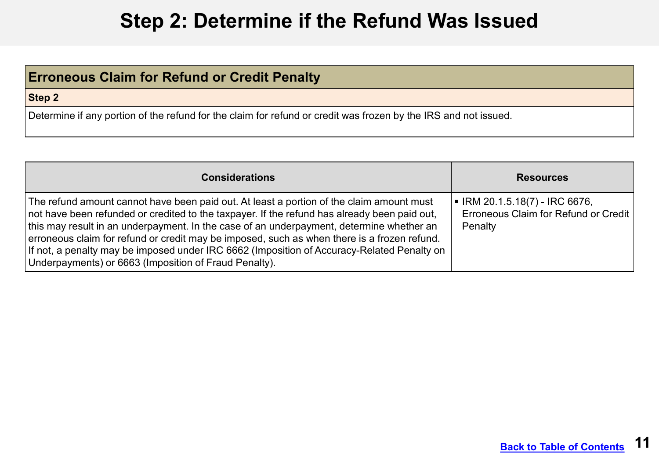### **Step 2: Determine if the Refund Was Issued**

#### <span id="page-10-0"></span>**Erroneous Claim for Refund or Credit Penalty**

**Step 2**

Determine if any portion of the refund for the claim for refund or credit was frozen by the IRS and not issued.

| <b>Considerations</b>                                                                                                                                                                                                                                                                                                                                                                                                                                                                                                                      | <b>Resources</b>                                                                                 |
|--------------------------------------------------------------------------------------------------------------------------------------------------------------------------------------------------------------------------------------------------------------------------------------------------------------------------------------------------------------------------------------------------------------------------------------------------------------------------------------------------------------------------------------------|--------------------------------------------------------------------------------------------------|
| The refund amount cannot have been paid out. At least a portion of the claim amount must<br>not have been refunded or credited to the taxpayer. If the refund has already been paid out,<br>this may result in an underpayment. In the case of an underpayment, determine whether an<br>erroneous claim for refund or credit may be imposed, such as when there is a frozen refund.<br>If not, a penalty may be imposed under IRC 6662 (Imposition of Accuracy-Related Penalty on<br>Underpayments) or 6663 (Imposition of Fraud Penalty). | $\blacksquare$ IRM 20.1.5.18(7) - IRC 6676,<br>Erroneous Claim for Refund or Credit  <br>Penalty |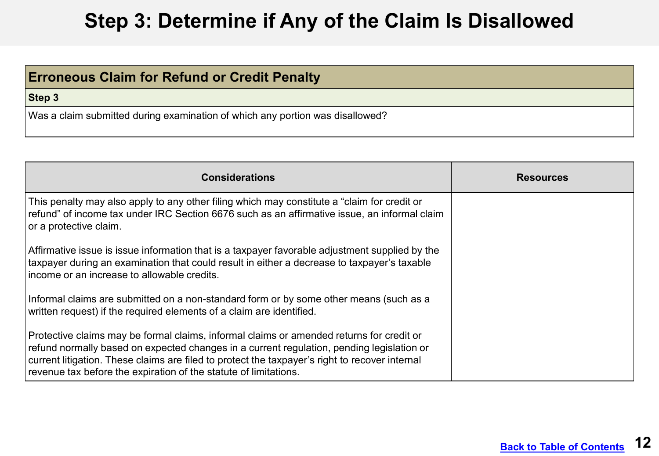## **Step 3: Determine if Any of the Claim Is Disallowed**

<span id="page-11-0"></span>

| <b>Erroneous Claim for Refund or Credit Penalty</b>                           |
|-------------------------------------------------------------------------------|
| Step 3                                                                        |
| Was a claim submitted during examination of which any portion was disallowed? |

| <b>Considerations</b>                                                                                                                                                                                                                                                                                                                                       | <b>Resources</b> |
|-------------------------------------------------------------------------------------------------------------------------------------------------------------------------------------------------------------------------------------------------------------------------------------------------------------------------------------------------------------|------------------|
| This penalty may also apply to any other filing which may constitute a "claim for credit or<br>refund" of income tax under IRC Section 6676 such as an affirmative issue, an informal claim<br>or a protective claim.                                                                                                                                       |                  |
| Affirmative issue is issue information that is a taxpayer favorable adjustment supplied by the<br>taxpayer during an examination that could result in either a decrease to taxpayer's taxable<br>Income or an increase to allowable credits.                                                                                                                |                  |
| Informal claims are submitted on a non-standard form or by some other means (such as a<br>written request) if the required elements of a claim are identified.                                                                                                                                                                                              |                  |
| Protective claims may be formal claims, informal claims or amended returns for credit or<br>refund normally based on expected changes in a current regulation, pending legislation or<br>current litigation. These claims are filed to protect the taxpayer's right to recover internal<br>revenue tax before the expiration of the statute of limitations. |                  |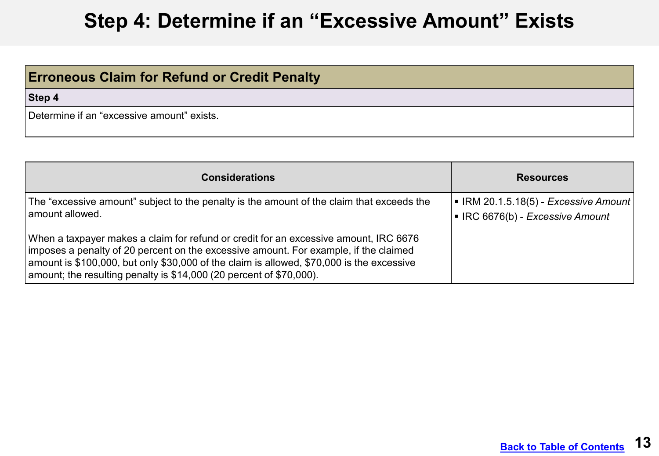## **Step 4: Determine if an "Excessive Amount" Exists**

<span id="page-12-0"></span>

| <b>Erroneous Claim for Refund or Credit Penalty</b> |  |
|-----------------------------------------------------|--|
| Step 4                                              |  |
| Determine if an "excessive amount" exists.          |  |

| <b>Considerations</b>                                                                                                                                                                                                                                                                                                                             | <b>Resources</b>                                                                     |
|---------------------------------------------------------------------------------------------------------------------------------------------------------------------------------------------------------------------------------------------------------------------------------------------------------------------------------------------------|--------------------------------------------------------------------------------------|
| The "excessive amount" subject to the penalty is the amount of the claim that exceeds the<br>amount allowed.                                                                                                                                                                                                                                      | $\blacksquare$ IRM 20.1.5.18(5) - Excessive Amount<br>IFC 6676(b) - Excessive Amount |
| When a taxpayer makes a claim for refund or credit for an excessive amount, IRC 6676<br>imposes a penalty of 20 percent on the excessive amount. For example, if the claimed<br>amount is \$100,000, but only \$30,000 of the claim is allowed, \$70,000 is the excessive<br>amount; the resulting penalty is $$14,000$ (20 percent of \$70,000). |                                                                                      |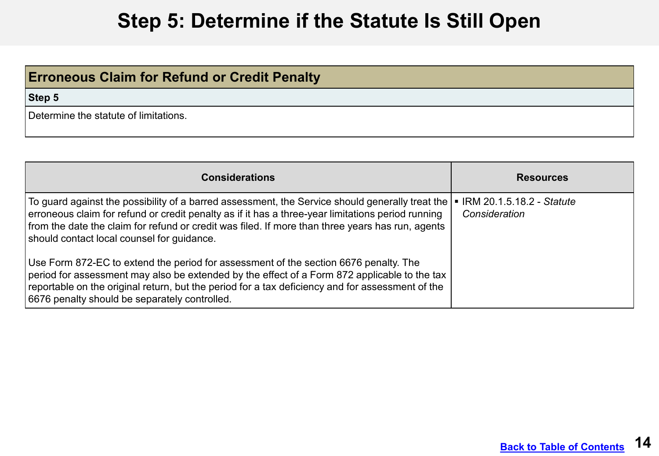#### **Step 5: Determine if the Statute Is Still Open**

#### <span id="page-13-0"></span>**Erroneous Claim for Refund or Credit Penalty**

**Step 5**

Determine the statute of limitations.

| <b>Considerations</b>                                                                                                                                                                                                                                                                                                                                  | <b>Resources</b>                             |
|--------------------------------------------------------------------------------------------------------------------------------------------------------------------------------------------------------------------------------------------------------------------------------------------------------------------------------------------------------|----------------------------------------------|
| To guard against the possibility of a barred assessment, the Service should generally treat the<br>erroneous claim for refund or credit penalty as if it has a three-year limitations period running<br>from the date the claim for refund or credit was filed. If more than three years has run, agents<br>should contact local counsel for guidance. | ■ IRM 20.1.5.18.2 - Statute<br>Consideration |
| Use Form 872-EC to extend the period for assessment of the section 6676 penalty. The<br>period for assessment may also be extended by the effect of a Form 872 applicable to the tax<br>reportable on the original return, but the period for a tax deficiency and for assessment of the<br>6676 penalty should be separately controlled.              |                                              |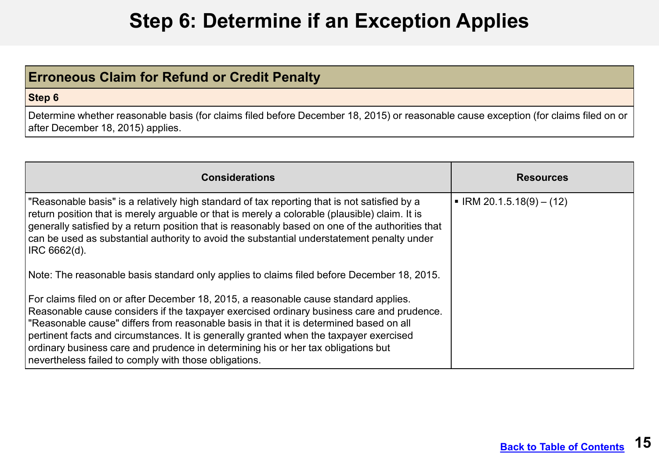## **Step 6: Determine if an Exception Applies**

#### <span id="page-14-0"></span>**Erroneous Claim for Refund or Credit Penalty**

#### **Step 6**

Determine whether reasonable basis (for claims filed before December 18, 2015) or reasonable cause exception (for claims filed on or after December 18, 2015) applies.

| <b>Considerations</b>                                                                                                                                                                                                                                                                                                                                                                                                                                                                                                | <b>Resources</b>                       |
|----------------------------------------------------------------------------------------------------------------------------------------------------------------------------------------------------------------------------------------------------------------------------------------------------------------------------------------------------------------------------------------------------------------------------------------------------------------------------------------------------------------------|----------------------------------------|
| "Reasonable basis" is a relatively high standard of tax reporting that is not satisfied by a<br>return position that is merely arguable or that is merely a colorable (plausible) claim. It is<br>generally satisfied by a return position that is reasonably based on one of the authorities that<br>can be used as substantial authority to avoid the substantial understatement penalty under<br> IRC 6662(d).<br>Note: The reasonable basis standard only applies to claims filed before December 18, 2015.      | $\blacksquare$ IRM 20.1.5.18(9) – (12) |
| For claims filed on or after December 18, 2015, a reasonable cause standard applies.<br>Reasonable cause considers if the taxpayer exercised ordinary business care and prudence.<br> "Reasonable cause" differs from reasonable basis in that it is determined based on all<br>pertinent facts and circumstances. It is generally granted when the taxpayer exercised<br>ordinary business care and prudence in determining his or her tax obligations but<br>nevertheless failed to comply with those obligations. |                                        |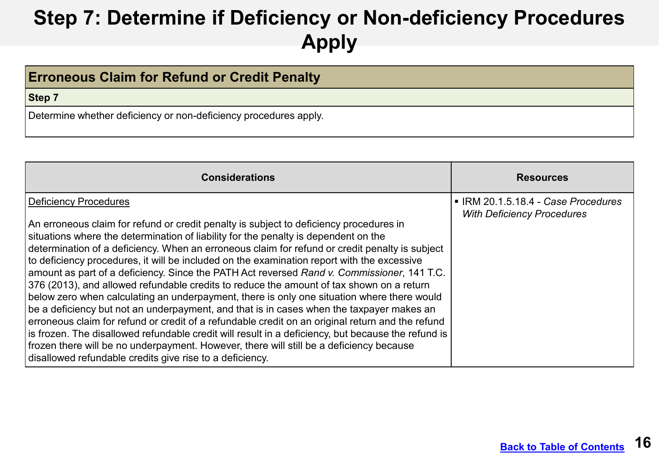# <span id="page-15-0"></span>**Step 7: Determine if Deficiency or Non-deficiency Procedures Apply**

| <b>Erroneous Claim for Refund or Credit Penalty</b>              |  |
|------------------------------------------------------------------|--|
| Step 7                                                           |  |
| Determine whether deficiency or non-deficiency procedures apply. |  |

| <b>Considerations</b>                                                                                                                                                                                                                                                                                                                                                                                                                                                                                                                                                                                                                                                                                                                                                                                                                                                                                                                                                                                                                                                                                                                                                      | <b>Resources</b>                                                       |
|----------------------------------------------------------------------------------------------------------------------------------------------------------------------------------------------------------------------------------------------------------------------------------------------------------------------------------------------------------------------------------------------------------------------------------------------------------------------------------------------------------------------------------------------------------------------------------------------------------------------------------------------------------------------------------------------------------------------------------------------------------------------------------------------------------------------------------------------------------------------------------------------------------------------------------------------------------------------------------------------------------------------------------------------------------------------------------------------------------------------------------------------------------------------------|------------------------------------------------------------------------|
| <b>Deficiency Procedures</b><br>An erroneous claim for refund or credit penalty is subject to deficiency procedures in<br>situations where the determination of liability for the penalty is dependent on the<br>determination of a deficiency. When an erroneous claim for refund or credit penalty is subject<br>to deficiency procedures, it will be included on the examination report with the excessive<br>amount as part of a deficiency. Since the PATH Act reversed Rand v. Commissioner, 141 T.C.<br>376 (2013), and allowed refundable credits to reduce the amount of tax shown on a return<br>below zero when calculating an underpayment, there is only one situation where there would<br>$\vert$ be a deficiency but not an underpayment, and that is in cases when the taxpayer makes an<br>erroneous claim for refund or credit of a refundable credit on an original return and the refund<br>is frozen. The disallowed refundable credit will result in a deficiency, but because the refund is<br>frozen there will be no underpayment. However, there will still be a deficiency because<br>disallowed refundable credits give rise to a deficiency. | IRM 20.1.5.18.4 - Case Procedures<br><b>With Deficiency Procedures</b> |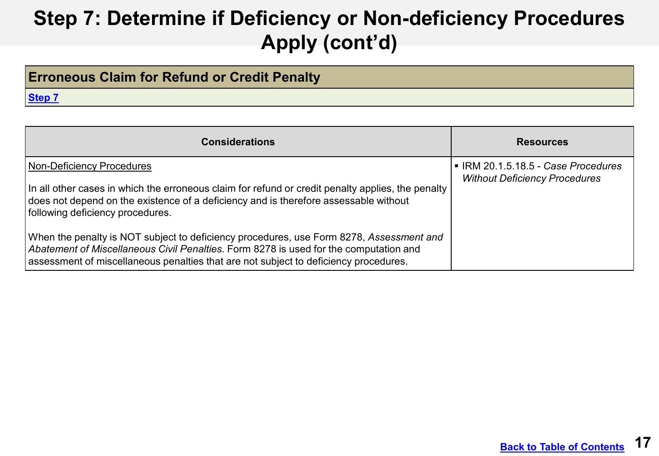# **Step 7: Determine if Deficiency or Non-deficiency Procedures Apply (cont'd)**

#### **Erroneous Claim for Refund or Credit Penalty**

**[Step 7](#page-8-0)**

| <b>Considerations</b>                                                                                                                                                                                                                                                    | <b>Resources</b>                                                            |
|--------------------------------------------------------------------------------------------------------------------------------------------------------------------------------------------------------------------------------------------------------------------------|-----------------------------------------------------------------------------|
| <b>Non-Deficiency Procedures</b><br>In all other cases in which the erroneous claim for refund or credit penalty applies, the penalty<br>does not depend on the existence of a deficiency and is therefore assessable without<br>following deficiency procedures.        | • IRM 20.1.5.18.5 - Case Procedures<br><b>Without Deficiency Procedures</b> |
| When the penalty is NOT subject to deficiency procedures, use Form 8278, Assessment and<br>Abatement of Miscellaneous Civil Penalties. Form 8278 is used for the computation and<br>assessment of miscellaneous penalties that are not subject to deficiency procedures. |                                                                             |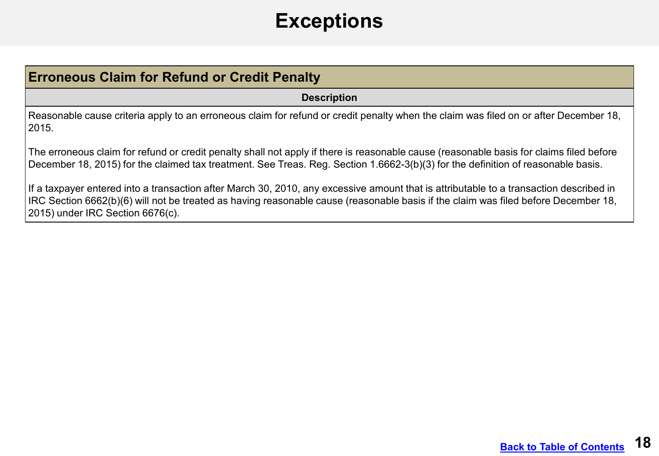## **Exceptions**

<span id="page-17-0"></span>

| <b>Erroneous Claim for Refund or Credit Penalty</b>                                                                                                                                                                                                                          |
|------------------------------------------------------------------------------------------------------------------------------------------------------------------------------------------------------------------------------------------------------------------------------|
| <b>Description</b>                                                                                                                                                                                                                                                           |
| Reasonable cause criteria apply to an erroneous claim for refund or credit penalty when the claim was filed on or after December 18,<br> 2015.                                                                                                                               |
| The erroneous claim for refund or credit penalty shall not apply if there is reasonable cause (reasonable basis for claims filed before<br>December 18, 2015) for the claimed tax treatment. See Treas. Reg. Section 1.6662-3(b)(3) for the definition of reasonable basis.  |
| If a taxpayer entered into a transaction after March 30, 2010, any excessive amount that is attributable to a transaction described in<br>IRC Section 6662(b)(6) will not be treated as having reasonable cause (reasonable basis if the claim was filed before December 18, |

2015) under IRC Section 6676(c).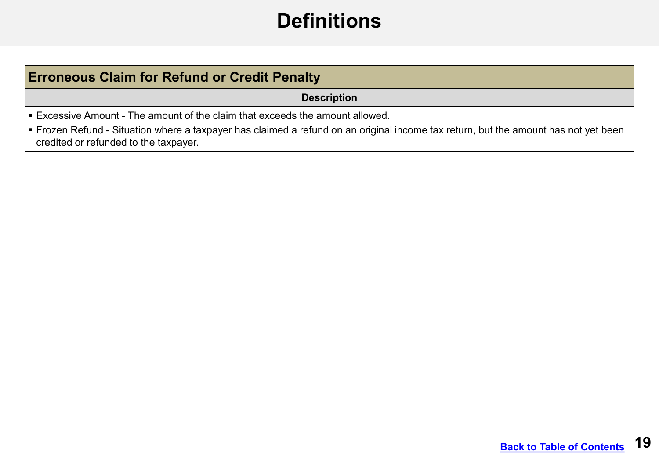## **Definitions**

#### **Erroneous Claim for Refund or Credit Penalty**

#### **Description**

Excessive Amount - The amount of the claim that exceeds the amount allowed.

 Frozen Refund - Situation where a taxpayer has claimed a refund on an original income tax return, but the amount has not yet been credited or refunded to the taxpayer.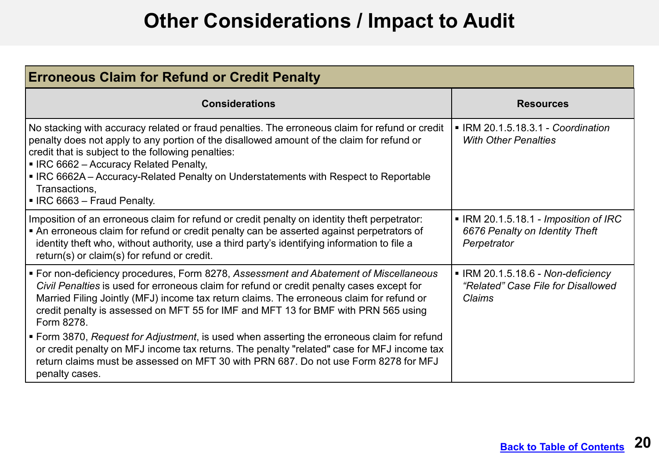## **Other Considerations / Impact to Audit**

<span id="page-19-0"></span>

| <b>Erroneous Claim for Refund or Credit Penalty</b>                                                                                                                                                                                                                                                                                                                                                                                 |                                                                                        |
|-------------------------------------------------------------------------------------------------------------------------------------------------------------------------------------------------------------------------------------------------------------------------------------------------------------------------------------------------------------------------------------------------------------------------------------|----------------------------------------------------------------------------------------|
| <b>Considerations</b>                                                                                                                                                                                                                                                                                                                                                                                                               | <b>Resources</b>                                                                       |
| No stacking with accuracy related or fraud penalties. The erroneous claim for refund or credit<br>penalty does not apply to any portion of the disallowed amount of the claim for refund or<br>credit that is subject to the following penalties:<br>• IRC 6662 - Accuracy Related Penalty,<br>• IRC 6662A – Accuracy-Related Penalty on Understatements with Respect to Reportable<br>Transactions,<br>• IRC 6663 - Fraud Penalty. | • IRM 20.1.5.18.3.1 - Coordination<br><b>With Other Penalties</b>                      |
| Imposition of an erroneous claim for refund or credit penalty on identity theft perpetrator:<br>• An erroneous claim for refund or credit penalty can be asserted against perpetrators of<br>identity theft who, without authority, use a third party's identifying information to file a<br>return(s) or claim(s) for refund or credit.                                                                                            | ■ IRM 20.1.5.18.1 - Imposition of IRC<br>6676 Penalty on Identity Theft<br>Perpetrator |
| ■ For non-deficiency procedures, Form 8278, Assessment and Abatement of Miscellaneous<br>Civil Penalties is used for erroneous claim for refund or credit penalty cases except for<br>Married Filing Jointly (MFJ) income tax return claims. The erroneous claim for refund or<br>credit penalty is assessed on MFT 55 for IMF and MFT 13 for BMF with PRN 565 using<br>Form 8278.                                                  | ■ IRM 20.1.5.18.6 - Non-deficiency<br>"Related" Case File for Disallowed<br>Claims     |
| • Form 3870, Request for Adjustment, is used when asserting the erroneous claim for refund<br>or credit penalty on MFJ income tax returns. The penalty "related" case for MFJ income tax<br>return claims must be assessed on MFT 30 with PRN 687. Do not use Form 8278 for MFJ<br>penalty cases.                                                                                                                                   |                                                                                        |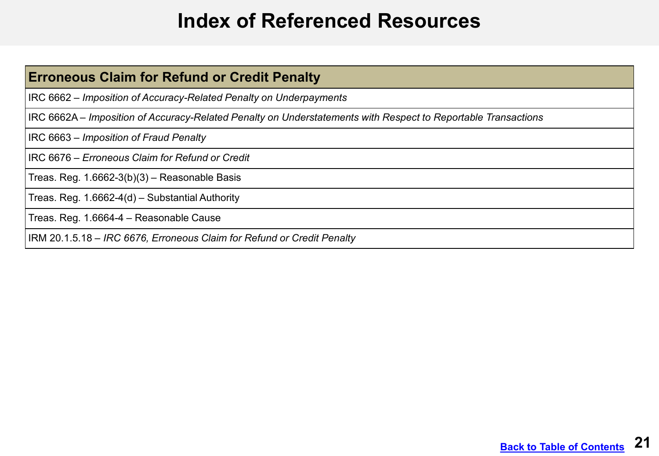### **Index of Referenced Resources**

<span id="page-20-0"></span>

| <b>Erroneous Claim for Refund or Credit Penalty</b>                                                           |
|---------------------------------------------------------------------------------------------------------------|
| IRC 6662 – Imposition of Accuracy-Related Penalty on Underpayments                                            |
| IRC 6662A – Imposition of Accuracy-Related Penalty on Understatements with Respect to Reportable Transactions |
| IRC 6663 – Imposition of Fraud Penalty                                                                        |
| IRC 6676 – Erroneous Claim for Refund or Credit                                                               |
| Treas. Reg. 1.6662-3(b)(3) – Reasonable Basis                                                                 |
| Treas. Reg. 1.6662-4(d) – Substantial Authority                                                               |
| Treas. Reg. 1.6664-4 - Reasonable Cause                                                                       |
| IRM 20.1.5.18 – IRC 6676, Erroneous Claim for Refund or Credit Penalty                                        |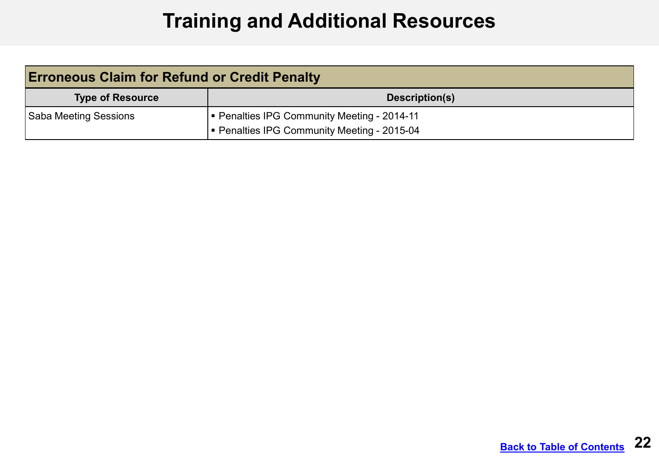## **Training and Additional Resources**

<span id="page-21-0"></span>

| <b>Erroneous Claim for Refund or Credit Penalty</b> |                                           |
|-----------------------------------------------------|-------------------------------------------|
| <b>Type of Resource</b>                             | Description(s)                            |
| Saba Meeting Sessions                               | Penalties IPG Community Meeting - 2014-11 |
|                                                     | Penalties IPG Community Meeting - 2015-04 |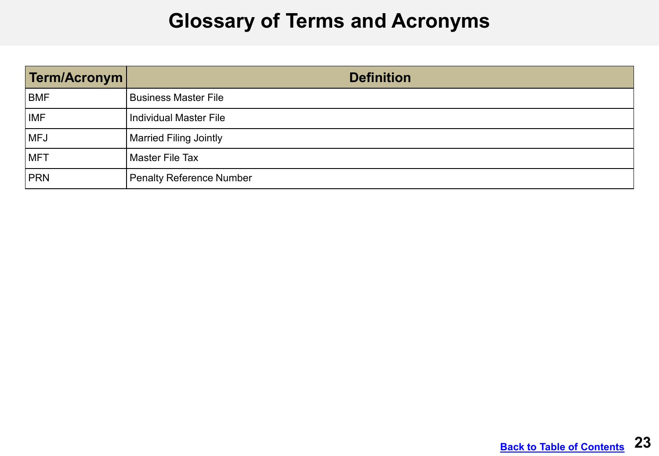#### **Glossary of Terms and Acronyms**

<span id="page-22-0"></span>

| Term/Acronym | <b>Definition</b>             |
|--------------|-------------------------------|
| <b>BMF</b>   | <b>Business Master File</b>   |
| <b>IMF</b>   | <b>Individual Master File</b> |
| MFJ          | Married Filing Jointly        |
| <b>IMFT</b>  | <b>Master File Tax</b>        |
| PRN          | Penalty Reference Number      |